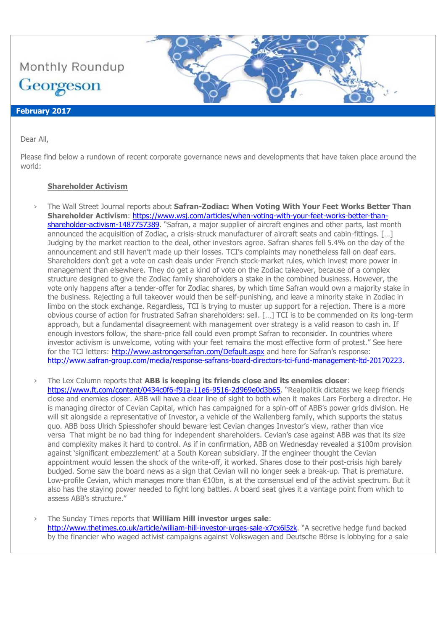

#### Dear All,

Please find below a rundown of recent corporate governance news and developments that have taken place around the world:

## **Shareholder Activism**

- › The Wall Street Journal reports about **Safran-Zodiac: When Voting With Your Feet Works Better Than Shareholder Activism**: [https://www.wsj.com/articles/when-voting-with-your-feet-works-better-than](https://www.wsj.com/articles/when-voting-with-your-feet-works-better-than-shareholder-activism-1487757389)[shareholder-activism-1487757389](https://www.wsj.com/articles/when-voting-with-your-feet-works-better-than-shareholder-activism-1487757389). "Safran, a major supplier of aircraft engines and other parts, last month announced the acquisition of Zodiac, a crisis-struck manufacturer of aircraft seats and cabin-fittings. […] Judging by the market reaction to the deal, other investors agree. Safran shares fell 5.4% on the day of the announcement and still haven't made up their losses. TCI's complaints may nonetheless fall on deaf ears. Shareholders don't get a vote on cash deals under French stock-market rules, which invest more power in management than elsewhere. They do get a kind of vote on the Zodiac takeover, because of a complex structure designed to give the Zodiac family shareholders a stake in the combined business. However, the vote only happens after a tender-offer for Zodiac shares, by which time Safran would own a majority stake in the business. Rejecting a full takeover would then be self-punishing, and leave a minority stake in Zodiac in limbo on the stock exchange. Regardless, TCI is trying to muster up support for a rejection. There is a more obvious course of action for frustrated Safran shareholders: sell. […] TCI is to be commended on its long-term approach, but a fundamental disagreement with management over strategy is a valid reason to cash in. If enough investors follow, the share-price fall could even prompt Safran to reconsider. In countries where investor activism is unwelcome, voting with your feet remains the most effective form of protest." See here for the TCI letters:<http://www.astrongersafran.com/Default.aspx> and here for Safran's response: <http://www.safran-group.com/media/response-safrans-board-directors-tci-fund-management-ltd-20170223.>
- › The Lex Column reports that **ABB is keeping its friends close and its enemies closer**: <https://www.ft.com/content/0434c0f6-f91a-11e6-9516-2d969e0d3b65>. "Realpolitik dictates we keep friends close and enemies closer. ABB will have a clear line of sight to both when it makes Lars Forberg a director. He is managing director of Cevian Capital, which has campaigned for a spin-off of ABB's power grids division. He will sit alongside a representative of Investor, a vehicle of the Wallenberg family, which supports the status quo. ABB boss Ulrich Spiesshofer should beware lest Cevian changes Investor's view, rather than vice versa That might be no bad thing for independent shareholders. Cevian's case against ABB was that its size and complexity makes it hard to control. As if in confirmation, ABB on Wednesday revealed a \$100m provision against 'significant embezzlement' at a South Korean subsidiary. If the engineer thought the Cevian appointment would lessen the shock of the write-off, it worked. Shares close to their post-crisis high barely budged. Some saw the board news as a sign that Cevian will no longer seek a break-up. That is premature. Low-profile Cevian, which manages more than €10bn, is at the consensual end of the activist spectrum. But it also has the staying power needed to fight long battles. A board seat gives it a vantage point from which to assess ABB's structure."
- › The Sunday Times reports that **William Hill investor urges sale**: <http://www.thetimes.co.uk/article/william-hill-investor-urges-sale-x7cx6l5zk>. "A secretive hedge fund backed by the financier who waged activist campaigns against Volkswagen and Deutsche Börse is lobbying for a sale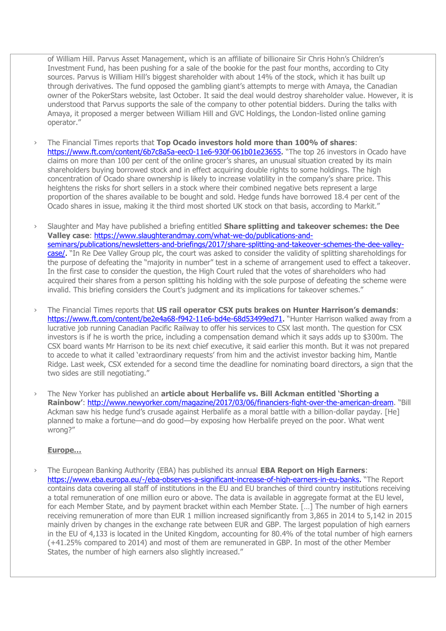of William Hill. Parvus Asset Management, which is an affiliate of billionaire Sir Chris Hohn's Children's Investment Fund, has been pushing for a sale of the bookie for the past four months, according to City sources. Parvus is William Hill's biggest shareholder with about 14% of the stock, which it has built up through derivatives. The fund opposed the gambling giant's attempts to merge with Amaya, the Canadian owner of the PokerStars website, last October. It said the deal would destroy shareholder value. However, it is understood that Parvus supports the sale of the company to other potential bidders. During the talks with Amaya, it proposed a merger between William Hill and GVC Holdings, the London-listed online gaming operator."

- › The Financial Times reports that **Top Ocado investors hold more than 100% of shares**: [https://www.ft.com/content/6b7c8a5a-eec0-11e6-930f-061b01e23655.](https://www.ft.com/content/6b7c8a5a-eec0-11e6-930f-061b01e23655) "The top 26 investors in Ocado have claims on more than 100 per cent of the online grocer's shares, an unusual situation created by its main shareholders buying borrowed stock and in effect acquiring double rights to some holdings. The high concentration of Ocado share ownership is likely to increase volatility in the company's share price. This heightens the risks for short sellers in a stock where their combined negative bets represent a large proportion of the shares available to be bought and sold. Hedge funds have borrowed 18.4 per cent of the Ocado shares in issue, making it the third most shorted UK stock on that basis, according to Markit."
- › Slaughter and May have published a briefing entitled **Share splitting and takeover schemes: the Dee Valley case**: [https://www.slaughterandmay.com/what-we-do/publications-and](https://www.slaughterandmay.com/what-we-do/publications-and-seminars/publications/newsletters-and-briefings/2017/share-splitting-and-takeover-schemes-the-dee-valley-case/)[seminars/publications/newsletters-and-briefings/2017/share-splitting-and-takeover-schemes-the-dee-valley](https://www.slaughterandmay.com/what-we-do/publications-and-seminars/publications/newsletters-and-briefings/2017/share-splitting-and-takeover-schemes-the-dee-valley-case/)[case/.](https://www.slaughterandmay.com/what-we-do/publications-and-seminars/publications/newsletters-and-briefings/2017/share-splitting-and-takeover-schemes-the-dee-valley-case/) "In Re Dee Valley Group plc, the court was asked to consider the validity of splitting shareholdings for the purpose of defeating the "majority in number" test in a scheme of arrangement used to effect a takeover. In the first case to consider the question, the High Court ruled that the votes of shareholders who had acquired their shares from a person splitting his holding with the sole purpose of defeating the scheme were invalid. This briefing considers the Court's judgment and its implications for takeover schemes."
- › The Financial Times reports that **US rail operator CSX puts brakes on Hunter Harrison's demands**: [https://www.ft.com/content/be2e4a68-f942-11e6-bd4e-68d53499ed71.](https://www.ft.com/content/be2e4a68-f942-11e6-bd4e-68d53499ed71) "Hunter Harrison walked away from a lucrative job running Canadian Pacific Railway to offer his services to CSX last month. The question for CSX investors is if he is worth the price, including a compensation demand which it says adds up to \$300m. The CSX board wants Mr Harrison to be its next chief executive, it said earlier this month. But it was not prepared to accede to what it called 'extraordinary requests' from him and the activist investor backing him, Mantle Ridge. Last week, CSX extended for a second time the deadline for nominating board directors, a sign that the two sides are still negotiating."
- › The New Yorker has published an **article about Herbalife vs. Bill Ackman entitled 'Shorting a Rainbow'**:<http://www.newyorker.com/magazine/2017/03/06/financiers-fight-over-the-american-dream>. "Bill Ackman saw his hedge fund's crusade against Herbalife as a moral battle with a billion-dollar payday. [He] planned to make a fortune—and do good—by exposing how Herbalife preyed on the poor. What went wrong?"

## **Europe…**

› The European Banking Authority (EBA) has published its annual **EBA Report on High Earners**: [https://www.eba.europa.eu/-/eba-observes-a-significant-increase-of-high-earners-in-eu-banks.](https://www.eba.europa.eu/-/eba-observes-a-significant-increase-of-high-earners-in-eu-banks) "The Report contains data covering all staff of institutions in the EU and EU branches of third country institutions receiving a total remuneration of one million euro or above. The data is available in aggregate format at the EU level, for each Member State, and by payment bracket within each Member State. […] The number of high earners receiving remuneration of more than EUR 1 million increased significantly from 3,865 in 2014 to 5,142 in 2015 mainly driven by changes in the exchange rate between EUR and GBP. The largest population of high earners in the EU of 4,133 is located in the United Kingdom, accounting for 80.4% of the total number of high earners (+41.25% compared to 2014) and most of them are remunerated in GBP. In most of the other Member States, the number of high earners also slightly increased."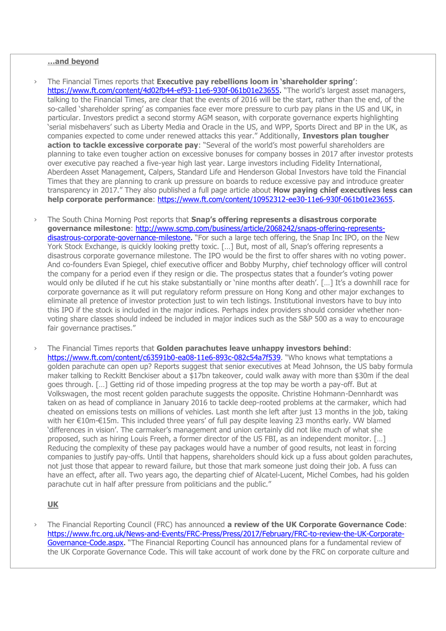## **…and beyond**

- › The Financial Times reports that **Executive pay rebellions loom in 'shareholder spring'**: [https://www.ft.com/content/4d02fb44-ef93-11e6-930f-061b01e23655.](https://www.ft.com/content/4d02fb44-ef93-11e6-930f-061b01e23655) "The world's largest asset managers, talking to the Financial Times, are clear that the events of 2016 will be the start, rather than the end, of the so-called 'shareholder spring' as companies face ever more pressure to curb pay plans in the US and UK, in particular. Investors predict a second stormy AGM season, with corporate governance experts highlighting 'serial misbehavers' such as Liberty Media and Oracle in the US, and WPP, Sports Direct and BP in the UK, as companies expected to come under renewed attacks this year." Additionally, **Investors plan tougher action to tackle excessive corporate pay**: "Several of the world's most powerful shareholders are planning to take even tougher action on excessive bonuses for company bosses in 2017 after investor protests over executive pay reached a five-year high last year. Large investors including Fidelity International, Aberdeen Asset Management, Calpers, Standard Life and Henderson Global Investors have told the Financial Times that they are planning to crank up pressure on boards to reduce excessive pay and introduce greater transparency in 2017." They also published a full page article about **How paying chief executives less can help corporate performance**: [https://www.ft.com/content/10952312-ee30-11e6-930f-061b01e23655.](https://www.ft.com/content/10952312-ee30-11e6-930f-061b01e23655)
- › The South China Morning Post reports that **Snap's offering represents a disastrous corporate governance milestone**: [http://www.scmp.com/business/article/2068242/snaps-offering-represents](http://www.scmp.com/business/article/2068242/snaps-offering-represents-disastrous-corporate-governance-milestone)[disastrous-corporate-governance-milestone.](http://www.scmp.com/business/article/2068242/snaps-offering-represents-disastrous-corporate-governance-milestone) "For such a large tech offering, the Snap Inc IPO, on the New York Stock Exchange, is quickly looking pretty toxic. [...] But, most of all, Snap's offering represents a disastrous corporate governance milestone. The IPO would be the first to offer shares with no voting power. And co-founders Evan Spiegel, chief executive officer and Bobby Murphy, chief technology officer will control the company for a period even if they resign or die. The prospectus states that a founder's voting power would only be diluted if he cut his stake substantially or 'nine months after death'. […] It's a downhill race for corporate governance as it will put regulatory reform pressure on Hong Kong and other major exchanges to eliminate all pretence of investor protection just to win tech listings. Institutional investors have to buy into this IPO if the stock is included in the major indices. Perhaps index providers should consider whether nonvoting share classes should indeed be included in major indices such as the S&P 500 as a way to encourage fair governance practises."
- › The Financial Times reports that **Golden parachutes leave unhappy investors behind**: <https://www.ft.com/content/c63591b0-ea08-11e6-893c-082c54a7f539>. "Who knows what temptations a golden parachute can open up? Reports suggest that senior executives at Mead Johnson, the US baby formula maker talking to Reckitt Benckiser about a \$17bn takeover, could walk away with more than \$30m if the deal goes through. […] Getting rid of those impeding progress at the top may be worth a pay-off. But at Volkswagen, the most recent golden parachute suggests the opposite. Christine Hohmann-Dennhardt was taken on as head of compliance in January 2016 to tackle deep-rooted problems at the carmaker, which had cheated on emissions tests on millions of vehicles. Last month she left after just 13 months in the job, taking with her €10m-€15m. This included three years' of full pay despite leaving 23 months early. VW blamed 'differences in vision'. The carmaker's management and union certainly did not like much of what she proposed, such as hiring Louis Freeh, a former director of the US FBI, as an independent monitor. […] Reducing the complexity of these pay packages would have a number of good results, not least in forcing companies to justify pay-offs. Until that happens, shareholders should kick up a fuss about golden parachutes, not just those that appear to reward failure, but those that mark someone just doing their job. A fuss can have an effect, after all. Two years ago, the departing chief of Alcatel-Lucent, Michel Combes, had his golden parachute cut in half after pressure from politicians and the public."

#### **UK**

› The Financial Reporting Council (FRC) has announced **a review of the UK Corporate Governance Code**: [https://www.frc.org.uk/News-and-Events/FRC-Press/Press/2017/February/FRC-to-review-the-UK-Corporate-](https://www.frc.org.uk/News-and-Events/FRC-Press/Press/2017/February/FRC-to-review-the-UK-Corporate-Governance-Code.aspx)[Governance-Code.aspx.](https://www.frc.org.uk/News-and-Events/FRC-Press/Press/2017/February/FRC-to-review-the-UK-Corporate-Governance-Code.aspx) "The Financial Reporting Council has announced plans for a fundamental review of the UK Corporate Governance Code. This will take account of work done by the FRC on corporate culture and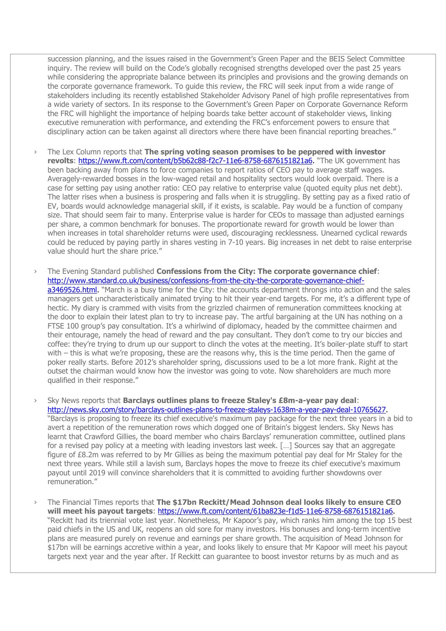succession planning, and the issues raised in the Government's Green Paper and the BEIS Select Committee inquiry. The review will build on the Code's globally recognised strengths developed over the past 25 years while considering the appropriate balance between its principles and provisions and the growing demands on the corporate governance framework. To guide this review, the FRC will seek input from a wide range of stakeholders including its recently established Stakeholder Advisory Panel of high profile representatives from a wide variety of sectors. In its response to the Government's Green Paper on Corporate Governance Reform the FRC will highlight the importance of helping boards take better account of stakeholder views, linking executive remuneration with performance, and extending the FRC's enforcement powers to ensure that disciplinary action can be taken against all directors where there have been financial reporting breaches."

- › The Lex Column reports that **The spring voting season promises to be peppered with investor**  revolts: [https://www.ft.com/content/b5b62c88-f2c7-11e6-8758-6876151821a6.](https://www.ft.com/content/b5b62c88-f2c7-11e6-8758-6876151821a6) "The UK government has been backing away from plans to force companies to report ratios of CEO pay to average staff wages. Averagely-rewarded bosses in the low-waged retail and hospitality sectors would look overpaid. There is a case for setting pay using another ratio: CEO pay relative to enterprise value (quoted equity plus net debt). The latter rises when a business is prospering and falls when it is struggling. By setting pay as a fixed ratio of EV, boards would acknowledge managerial skill, if it exists, is scalable. Pay would be a function of company size. That should seem fair to many. Enterprise value is harder for CEOs to massage than adjusted earnings per share, a common benchmark for bonuses. The proportionate reward for growth would be lower than when increases in total shareholder returns were used, discouraging recklessness. Unearned cyclical rewards could be reduced by paying partly in shares vesting in 7-10 years. Big increases in net debt to raise enterprise value should hurt the share price."
- › The Evening Standard published **Confessions from the City: The corporate governance chief**: [http://www.standard.co.uk/business/confessions-from-the-city-the-corporate-governance-chief](http://www.standard.co.uk/business/confessions-from-the-city-the-corporate-governance-chief-a3469526.html)[a3469526.html.](http://www.standard.co.uk/business/confessions-from-the-city-the-corporate-governance-chief-a3469526.html) "March is a busy time for the City: the accounts department throngs into action and the sales managers get uncharacteristically animated trying to hit their year-end targets. For me, it's a different type of hectic. My diary is crammed with visits from the grizzled chairmen of remuneration committees knocking at the door to explain their latest plan to try to increase pay. The artful bargaining at the UN has nothing on a FTSE 100 group's pay consultation. It's a whirlwind of diplomacy, headed by the committee chairmen and their entourage, namely the head of reward and the pay consultant. They don't come to try our biccies and coffee: they're trying to drum up our support to clinch the votes at the meeting. It's boiler-plate stuff to start with – this is what we're proposing, these are the reasons why, this is the time period. Then the game of poker really starts. Before 2012's shareholder spring, discussions used to be a lot more frank. Right at the outset the chairman would know how the investor was going to vote. Now shareholders are much more qualified in their response."

› Sky News reports that **Barclays outlines plans to freeze Staley's £8m-a-year pay deal**: [http://news.sky.com/story/barclays-outlines-plans-to-freeze-staleys-1638m-a-year-pay-deal-10765627.](http://news.sky.com/story/barclays-outlines-plans-to-freeze-staleys-1638m-a-year-pay-deal-10765627) "Barclays is proposing to freeze its chief executive's maximum pay package for the next three years in a bid to avert a repetition of the remuneration rows which dogged one of Britain's biggest lenders. Sky News has learnt that Crawford Gillies, the board member who chairs Barclays' remuneration committee, outlined plans for a revised pay policy at a meeting with leading investors last week. […] Sources say that an aggregate figure of £8.2m was referred to by Mr Gillies as being the maximum potential pay deal for Mr Staley for the next three years. While still a lavish sum, Barclays hopes the move to freeze its chief executive's maximum payout until 2019 will convince shareholders that it is committed to avoiding further showdowns over remuneration."

› The Financial Times reports that **The \$17bn Reckitt/Mead Johnson deal looks likely to ensure CEO will meet his payout targets**: [https://www.ft.com/content/61ba823e-f1d5-11e6-8758-6876151821a6.](https://www.ft.com/content/61ba823e-f1d5-11e6-8758-6876151821a6) "Reckitt had its triennial vote last year. Nonetheless, Mr Kapoor's pay, which ranks him among the top 15 best paid chiefs in the US and UK, reopens an old sore for many investors. His bonuses and long-term incentive plans are measured purely on revenue and earnings per share growth. The acquisition of Mead Johnson for \$17bn will be earnings accretive within a year, and looks likely to ensure that Mr Kapoor will meet his payout targets next year and the year after. If Reckitt can guarantee to boost investor returns by as much and as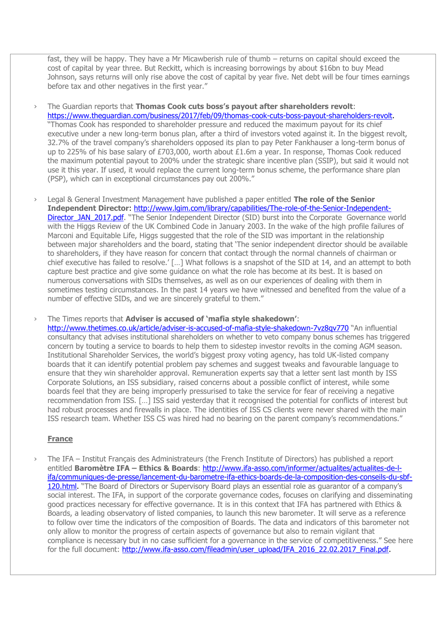fast, they will be happy. They have a Mr Micawberish rule of thumb – returns on capital should exceed the cost of capital by year three. But Reckitt, which is increasing borrowings by about \$16bn to buy Mead Johnson, says returns will only rise above the cost of capital by year five. Net debt will be four times earnings before tax and other negatives in the first year."

› The Guardian reports that **Thomas Cook cuts boss's payout after shareholders revolt**: [https://www.theguardian.com/business/2017/feb/09/thomas-cook-cuts-boss-payout-shareholders-revolt.](https://www.theguardian.com/business/2017/feb/09/thomas-cook-cuts-boss-payout-shareholders-revolt) "Thomas Cook has responded to shareholder pressure and reduced the maximum payout for its chief executive under a new long-term bonus plan, after a third of investors voted against it. In the biggest revolt, 32.7% of the travel company's shareholders opposed its plan to pay Peter Fankhauser a long-term bonus of up to 225% of his base salary of £703,000, worth about £1.6m a year. In response, Thomas Cook reduced the maximum potential payout to 200% under the strategic share incentive plan (SSIP), but said it would not use it this year. If used, it would replace the current long-term bonus scheme, the performance share plan (PSP), which can in exceptional circumstances pay out 200%."

› Legal & General Investment Management have published a paper entitled **The role of the Senior Independent Director**: [http://www.lgim.com/library/capabilities/The-role-of-the-Senior-Independent-](http://www.lgim.com/library/capabilities/The-role-of-the-Senior-Independent-Director_JAN_2017.pdf)Director JAN 2017.pdf. "The Senior Independent Director (SID) burst into the Corporate Governance world with the Higgs Review of the UK Combined Code in January 2003. In the wake of the high profile failures of Marconi and Equitable Life, Higgs suggested that the role of the SID was important in the relationship between major shareholders and the board, stating that 'The senior independent director should be available to shareholders, if they have reason for concern that contact through the normal channels of chairman or chief executive has failed to resolve.' […] What follows is a snapshot of the SID at 14, and an attempt to both capture best practice and give some guidance on what the role has become at its best. It is based on numerous conversations with SIDs themselves, as well as on our experiences of dealing with them in sometimes testing circumstances. In the past 14 years we have witnessed and benefited from the value of a number of effective SIDs, and we are sincerely grateful to them."

› The Times reports that **Adviser is accused of 'mafia style shakedown'**:

<http://www.thetimes.co.uk/article/adviser-is-accused-of-mafia-style-shakedown-7vz8qv770> "An influential consultancy that advises institutional shareholders on whether to veto company bonus schemes has triggered concern by touting a service to boards to help them to sidestep investor revolts in the coming AGM season. Institutional Shareholder Services, the world's biggest proxy voting agency, has told UK-listed company boards that it can identify potential problem pay schemes and suggest tweaks and favourable language to ensure that they win shareholder approval. Remuneration experts say that a letter sent last month by ISS Corporate Solutions, an ISS subsidiary, raised concerns about a possible conflict of interest, while some boards feel that they are being improperly pressurised to take the service for fear of receiving a negative recommendation from ISS. […] ISS said yesterday that it recognised the potential for conflicts of interest but had robust processes and firewalls in place. The identities of ISS CS clients were never shared with the main ISS research team. Whether ISS CS was hired had no bearing on the parent company's recommendations."

## **France**

› The IFA – Institut Français des Administrateurs (the French Institute of Directors) has published a report entitled **Baromètre IFA – Ethics & Boards**: [http://www.ifa-asso.com/informer/actualites/actualites-de-l](http://www.ifa-asso.com/informer/actualites/actualites-de-l-ifa/communiques-de-presse/lancement-du-barometre-ifa-ethics-boards-de-la-composition-des-conseils-du-sbf-120.html)[ifa/communiques-de-presse/lancement-du-barometre-ifa-ethics-boards-de-la-composition-des-conseils-du-sbf-](http://www.ifa-asso.com/informer/actualites/actualites-de-l-ifa/communiques-de-presse/lancement-du-barometre-ifa-ethics-boards-de-la-composition-des-conseils-du-sbf-120.html)[120.html.](http://www.ifa-asso.com/informer/actualites/actualites-de-l-ifa/communiques-de-presse/lancement-du-barometre-ifa-ethics-boards-de-la-composition-des-conseils-du-sbf-120.html) "The Board of Directors or Supervisory Board plays an essential role as guarantor of a company's social interest. The IFA, in support of the corporate governance codes, focuses on clarifying and disseminating good practices necessary for effective governance. It is in this context that IFA has partnered with Ethics & Boards, a leading observatory of listed companies, to launch this new barometer. It will serve as a reference to follow over time the indicators of the composition of Boards. The data and indicators of this barometer not only allow to monitor the progress of certain aspects of governance but also to remain vigilant that compliance is necessary but in no case sufficient for a governance in the service of competitiveness." See here for the full document: [http://www.ifa-asso.com/fileadmin/user\\_upload/IFA\\_2016\\_22.02.2017\\_Final.pdf.](http://www.ifa-asso.com/fileadmin/user_upload/IFA_2016_22.02.2017_Final.pdf)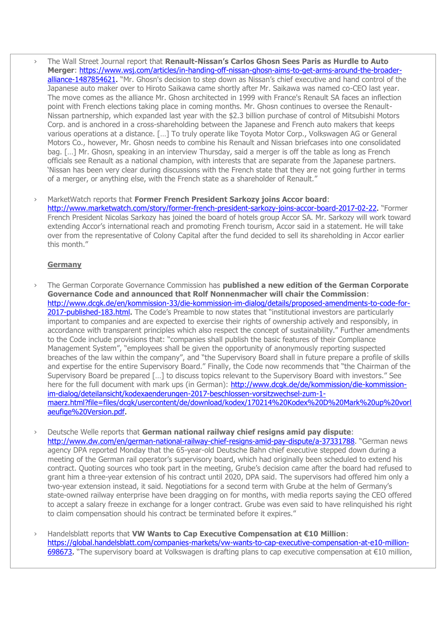› The Wall Street Journal report that **Renault-Nissan's Carlos Ghosn Sees Paris as Hurdle to Auto Merger**: [https://www.wsj.com/articles/in-handing-off-nissan-ghosn-aims-to-get-arms-around-the-broader](https://www.wsj.com/articles/in-handing-off-nissan-ghosn-aims-to-get-arms-around-the-broader-alliance-1487854621)[alliance-1487854621.](https://www.wsj.com/articles/in-handing-off-nissan-ghosn-aims-to-get-arms-around-the-broader-alliance-1487854621) "Mr. Ghosn's decision to step down as Nissan's chief executive and hand control of the Japanese auto maker over to Hiroto Saikawa came shortly after Mr. Saikawa was named co-CEO last year. The move comes as the alliance Mr. Ghosn architected in 1999 with France's Renault SA faces an inflection point with French elections taking place in coming months. Mr. Ghosn continues to oversee the Renault-Nissan partnership, which expanded last year with the \$2.3 billion purchase of control of Mitsubishi Motors Corp. and is anchored in a cross-shareholding between the Japanese and French auto makers that keeps various operations at a distance. […] To truly operate like Toyota Motor Corp., Volkswagen AG or General Motors Co., however, Mr. Ghosn needs to combine his Renault and Nissan briefcases into one consolidated bag. […] Mr. Ghosn, speaking in an interview Thursday, said a merger is off the table as long as French officials see Renault as a national champion, with interests that are separate from the Japanese partners. 'Nissan has been very clear during discussions with the French state that they are not going further in terms of a merger, or anything else, with the French state as a shareholder of Renault."

› MarketWatch reports that **Former French President Sarkozy joins Accor board**: [http://www.marketwatch.com/story/former-french-president-sarkozy-joins-accor-board-2017-02-22.](http://www.marketwatch.com/story/former-french-president-sarkozy-joins-accor-board-2017-02-22) "Former French President Nicolas Sarkozy has joined the board of hotels group Accor SA. Mr. Sarkozy will work toward extending Accor's international reach and promoting French tourism, Accor said in a statement. He will take over from the representative of Colony Capital after the fund decided to sell its shareholding in Accor earlier this month."

### **Germany**

› The German Corporate Governance Commission has **published a new edition of the German Corporate Governance Code and announced that Rolf Nonnenmacher will chair the Commission**: [http://www.dcgk.de/en/kommission-33/die-kommission-im-dialog/details/proposed-amendments-to-code-for-](http://www.dcgk.de/en/kommission-33/die-kommission-im-dialog/details/proposed-amendments-to-code-for-2017-published-183.html)[2017-published-183.html.](http://www.dcgk.de/en/kommission-33/die-kommission-im-dialog/details/proposed-amendments-to-code-for-2017-published-183.html) The Code's Preamble to now states that "institutional investors are particularly important to companies and are expected to exercise their rights of ownership actively and responsibly, in accordance with transparent principles which also respect the concept of sustainability." Further amendments to the Code include provisions that: "companies shall publish the basic features of their Compliance Management System", "employees shall be given the opportunity of anonymously reporting suspected breaches of the law within the company", and "the Supervisory Board shall in future prepare a profile of skills and expertise for the entire Supervisory Board." Finally, the Code now recommends that "the Chairman of the Supervisory Board be prepared […] to discuss topics relevant to the Supervisory Board with investors." See here for the full document with mark ups (in German): [http://www.dcgk.de/de/kommission/die-kommission](http://www.dcgk.de/de/kommission/die-kommission-im-dialog/deteilansicht/kodexaenderungen-2017-beschlossen-vorsitzwechsel-zum-1-maerz.html?file=files/dcgk/usercontent/de/download/kodex/170214%20Kodex%20D%20Mark%20up%20vorlaeufige%20Version.pdf)[im-dialog/deteilansicht/kodexaenderungen-2017-beschlossen-vorsitzwechsel-zum-1](http://www.dcgk.de/de/kommission/die-kommission-im-dialog/deteilansicht/kodexaenderungen-2017-beschlossen-vorsitzwechsel-zum-1-maerz.html?file=files/dcgk/usercontent/de/download/kodex/170214%20Kodex%20D%20Mark%20up%20vorlaeufige%20Version.pdf) [maerz.html?file=files/dcgk/usercontent/de/download/kodex/170214%20Kodex%20D%20Mark%20up%20vorl](http://www.dcgk.de/de/kommission/die-kommission-im-dialog/deteilansicht/kodexaenderungen-2017-beschlossen-vorsitzwechsel-zum-1-maerz.html?file=files/dcgk/usercontent/de/download/kodex/170214%20Kodex%20D%20Mark%20up%20vorlaeufige%20Version.pdf) [aeufige%20Version.pdf.](http://www.dcgk.de/de/kommission/die-kommission-im-dialog/deteilansicht/kodexaenderungen-2017-beschlossen-vorsitzwechsel-zum-1-maerz.html?file=files/dcgk/usercontent/de/download/kodex/170214%20Kodex%20D%20Mark%20up%20vorlaeufige%20Version.pdf)

› Deutsche Welle reports that **German national railway chief resigns amid pay dispute**: <http://www.dw.com/en/german-national-railway-chief-resigns-amid-pay-dispute/a-37331788>. "German news agency DPA reported Monday that the 65-year-old Deutsche Bahn chief executive stepped down during a meeting of the German rail operator's supervisory board, which had originally been scheduled to extend his contract. Quoting sources who took part in the meeting, Grube's decision came after the board had refused to grant him a three-year extension of his contract until 2020, DPA said. The supervisors had offered him only a two-year extension instead, it said. Negotiations for a second term with Grube at the helm of Germany's state-owned railway enterprise have been dragging on for months, with media reports saying the CEO offered to accept a salary freeze in exchange for a longer contract. Grube was even said to have relinquished his right to claim compensation should his contract be terminated before it expires."

› Handelsblatt reports that **VW Wants to Cap Executive Compensation at €10 Million**: [https://global.handelsblatt.com/companies-markets/vw-wants-to-cap-executive-compensation-at-e10-million-](https://global.handelsblatt.com/companies-markets/vw-wants-to-cap-executive-compensation-at-e10-million-698673)[698673.](https://global.handelsblatt.com/companies-markets/vw-wants-to-cap-executive-compensation-at-e10-million-698673) "The supervisory board at Volkswagen is drafting plans to cap executive compensation at  $\epsilon$ 10 million,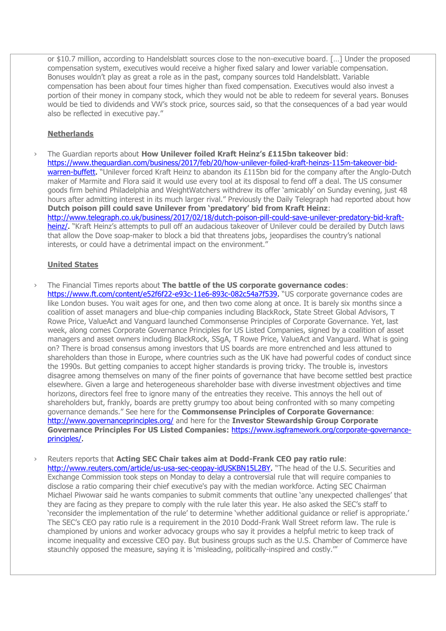or \$10.7 million, according to Handelsblatt sources close to the non-executive board. […] Under the proposed compensation system, executives would receive a higher fixed salary and lower variable compensation. Bonuses wouldn't play as great a role as in the past, company sources told Handelsblatt. Variable compensation has been about four times higher than fixed compensation. Executives would also invest a portion of their money in company stock, which they would not be able to redeem for several years. Bonuses would be tied to dividends and VW's stock price, sources said, so that the consequences of a bad year would also be reflected in executive pay."

# **Netherlands**

› The Guardian reports about **How Unilever foiled Kraft Heinz's £115bn takeover bid**: [https://www.theguardian.com/business/2017/feb/20/how-unilever-foiled-kraft-heinzs-115m-takeover-bid](https://www.theguardian.com/business/2017/feb/20/how-unilever-foiled-kraft-heinzs-115m-takeover-bid-warren-buffett)[warren-buffett.](https://www.theguardian.com/business/2017/feb/20/how-unilever-foiled-kraft-heinzs-115m-takeover-bid-warren-buffett) "Unilever forced Kraft Heinz to abandon its £115bn bid for the company after the Anglo-Dutch maker of Marmite and Flora said it would use every tool at its disposal to fend off a deal. The US consumer goods firm behind Philadelphia and WeightWatchers withdrew its offer 'amicably' on Sunday evening, just 48 hours after admitting interest in its much larger rival." Previously the Daily Telegraph had reported about how **Dutch poison pill could save Unilever from 'predatory' bid from Kraft Heinz**: [http://www.telegraph.co.uk/business/2017/02/18/dutch-poison-pill-could-save-unilever-predatory-bid-kraft](http://www.telegraph.co.uk/business/2017/02/18/dutch-poison-pill-could-save-unilever-predatory-bid-kraft-heinz/)[heinz/.](http://www.telegraph.co.uk/business/2017/02/18/dutch-poison-pill-could-save-unilever-predatory-bid-kraft-heinz/) "Kraft Heinz's attempts to pull off an audacious takeover of Unilever could be derailed by Dutch laws that allow the Dove soap-maker to block a bid that threatens jobs, jeopardises the country's national interests, or could have a detrimental impact on the environment."

## **United States**

- › The Financial Times reports about **The battle of the US corporate governance codes**: [https://www.ft.com/content/e52f6f22-e93c-11e6-893c-082c54a7f539.](https://www.ft.com/content/e52f6f22-e93c-11e6-893c-082c54a7f539) "US corporate governance codes are like London buses. You wait ages for one, and then two come along at once. It is barely six months since a coalition of asset managers and blue-chip companies including BlackRock, State Street Global Advisors, T Rowe Price, ValueAct and Vanguard launched Commonsense Principles of Corporate Governance. Yet, last week, along comes Corporate Governance Principles for US Listed Companies, signed by a coalition of asset managers and asset owners including BlackRock, SSgA, T Rowe Price, ValueAct and Vanguard. What is going on? There is broad consensus among investors that US boards are more entrenched and less attuned to shareholders than those in Europe, where countries such as the UK have had powerful codes of conduct since the 1990s. But getting companies to accept higher standards is proving tricky. The trouble is, investors disagree among themselves on many of the finer points of governance that have become settled best practice elsewhere. Given a large and heterogeneous shareholder base with diverse investment objectives and time horizons, directors feel free to ignore many of the entreaties they receive. This annoys the hell out of shareholders but, frankly, boards are pretty grumpy too about being confronted with so many competing governance demands." See here for the **Commonsense Principles of Corporate Governance**: <http://www.governanceprinciples.org/> and here for the **Investor Stewardship Group Corporate Governance Principles For US Listed Companies**: [https://www.isgframework.org/corporate-governance](https://www.isgframework.org/corporate-governance-principles/)[principles/.](https://www.isgframework.org/corporate-governance-principles/)
- › Reuters reports that **Acting SEC Chair takes aim at Dodd-Frank CEO pay ratio rule**: [http://www.reuters.com/article/us-usa-sec-ceopay-idUSKBN15L2BY.](http://www.reuters.com/article/us-usa-sec-ceopay-idUSKBN15L2BY) "The head of the U.S. Securities and Exchange Commission took steps on Monday to delay a controversial rule that will require companies to disclose a ratio comparing their chief executive's pay with the median workforce. Acting SEC Chairman Michael Piwowar said he wants companies to submit comments that outline 'any unexpected challenges' that they are facing as they prepare to comply with the rule later this year. He also asked the SEC's staff to 'reconsider the implementation of the rule' to determine 'whether additional guidance or relief is appropriate.' The SEC's CEO pay ratio rule is a requirement in the 2010 Dodd-Frank Wall Street reform law. The rule is championed by unions and worker advocacy groups who say it provides a helpful metric to keep track of income inequality and excessive CEO pay. But business groups such as the U.S. Chamber of Commerce have staunchly opposed the measure, saying it is 'misleading, politically-inspired and costly.""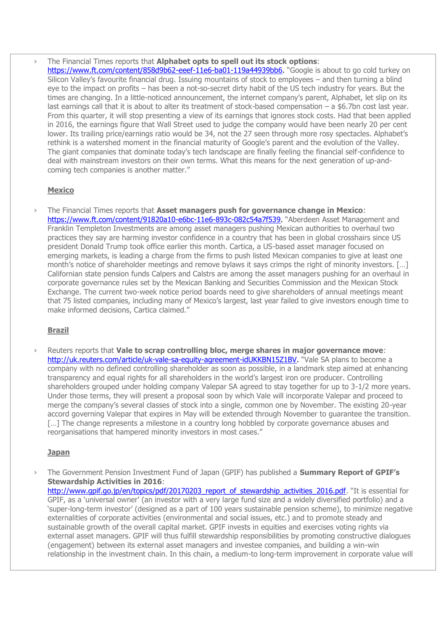› The Financial Times reports that **Alphabet opts to spell out its stock options**: [https://www.ft.com/content/858d9b62-eeef-11e6-ba01-119a44939bb6.](https://www.ft.com/content/858d9b62-eeef-11e6-ba01-119a44939bb6) "Google is about to go cold turkey on Silicon Valley's favourite financial drug. Issuing mountains of stock to employees – and then turning a blind eye to the impact on profits – has been a not-so-secret dirty habit of the US tech industry for years. But the times are changing. In a little-noticed announcement, the internet company's parent, Alphabet, let slip on its last earnings call that it is about to alter its treatment of stock-based compensation – a \$6.7bn cost last year. From this quarter, it will stop presenting a view of its earnings that ignores stock costs. Had that been applied in 2016, the earnings figure that Wall Street used to judge the company would have been nearly 20 per cent lower. Its trailing price/earnings ratio would be 34, not the 27 seen through more rosy spectacles. Alphabet's rethink is a watershed moment in the financial maturity of Google's parent and the evolution of the Valley. The giant companies that dominate today's tech landscape are finally feeling the financial self-confidence to deal with mainstream investors on their own terms. What this means for the next generation of up-andcoming tech companies is another matter."

# **Mexico**

› The Financial Times reports that **Asset managers push for governance change in Mexico**: [https://www.ft.com/content/91820a10-e6bc-11e6-893c-082c54a7f539.](https://www.ft.com/content/91820a10-e6bc-11e6-893c-082c54a7f539) "Aberdeen Asset Management and Franklin Templeton Investments are among asset managers pushing Mexican authorities to overhaul two practices they say are harming investor confidence in a country that has been in global crosshairs since US president Donald Trump took office earlier this month. Cartica, a US-based asset manager focused on emerging markets, is leading a charge from the firms to push listed Mexican companies to give at least one month's notice of shareholder meetings and remove bylaws it says crimps the right of minority investors. […] Californian state pension funds Calpers and Calstrs are among the asset managers pushing for an overhaul in corporate governance rules set by the Mexican Banking and Securities Commission and the Mexican Stock Exchange. The current two-week notice period boards need to give shareholders of annual meetings meant that 75 listed companies, including many of Mexico's largest, last year failed to give investors enough time to make informed decisions, Cartica claimed."

# **Brazil**

› Reuters reports that **Vale to scrap controlling bloc, merge shares in major governance move**: [http://uk.reuters.com/article/uk-vale-sa-equity-agreement-idUKKBN15Z1BV.](http://uk.reuters.com/article/uk-vale-sa-equity-agreement-idUKKBN15Z1BV) "Vale SA plans to become a company with no defined controlling shareholder as soon as possible, in a landmark step aimed at enhancing transparency and equal rights for all shareholders in the world's largest iron ore producer. Controlling shareholders grouped under holding company Valepar SA agreed to stay together for up to 3-1/2 more years. Under those terms, they will present a proposal soon by which Vale will incorporate Valepar and proceed to merge the company's several classes of stock into a single, common one by November. The existing 20-year accord governing Valepar that expires in May will be extended through November to guarantee the transition. [...] The change represents a milestone in a country long hobbled by corporate governance abuses and reorganisations that hampered minority investors in most cases."

# **Japan**

› The Government Pension Investment Fund of Japan (GPIF) has published a **Summary Report of GPIF's Stewardship Activities in 2016**: [http://www.gpif.go.jp/en/topics/pdf/20170203\\_report\\_of\\_stewardship\\_activities\\_2016.pdf](http://www.gpif.go.jp/en/topics/pdf/20170203_report_of_stewardship_activities_2016.pdf). "It is essential for GPIF, as a 'universal owner' (an investor with a very large fund size and a widely diversified portfolio) and a 'super-long-term investor' (designed as a part of 100 years sustainable pension scheme), to minimize negative externalities of corporate activities (environmental and social issues, etc.) and to promote steady and sustainable growth of the overall capital market. GPIF invests in equities and exercises voting rights via external asset managers. GPIF will thus fulfill stewardship responsibilities by promoting constructive dialogues (engagement) between its external asset managers and investee companies, and building a win-win relationship in the investment chain. In this chain, a medium-to long-term improvement in corporate value will